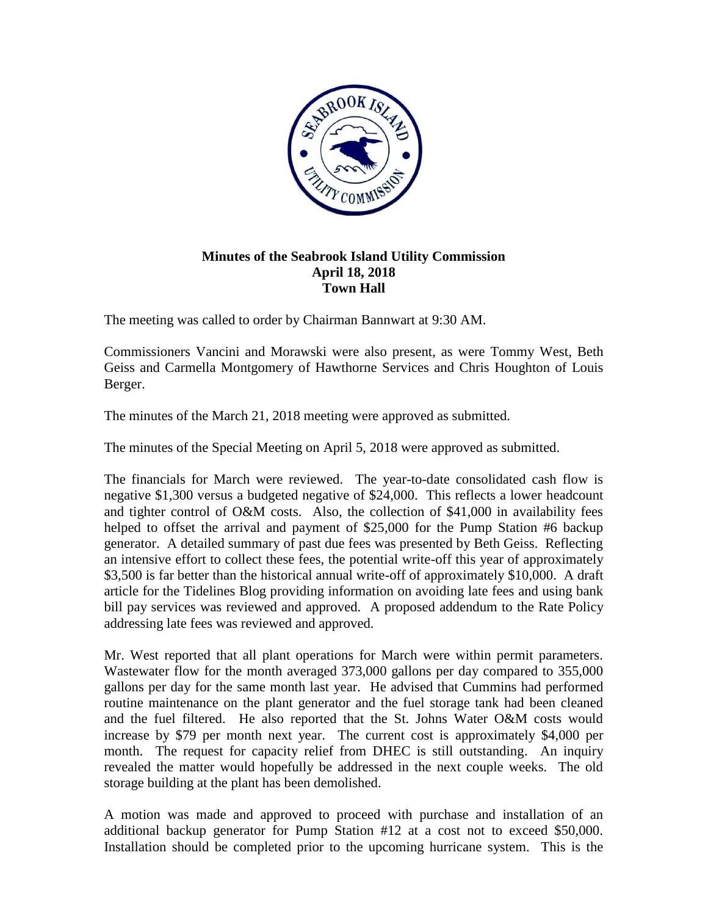

## **Minutes of the Seabrook Island Utility Commission April 18, 2018 Town Hall**

The meeting was called to order by Chairman Bannwart at 9:30 AM.

Commissioners Vancini and Morawski were also present, as were Tommy West, Beth Geiss and Carmella Montgomery of Hawthorne Services and Chris Houghton of Louis Berger.

The minutes of the March 21, 2018 meeting were approved as submitted.

The minutes of the Special Meeting on April 5, 2018 were approved as submitted.

The financials for March were reviewed. The year-to-date consolidated cash flow is negative \$1,300 versus a budgeted negative of \$24,000. This reflects a lower headcount and tighter control of O&M costs. Also, the collection of \$41,000 in availability fees helped to offset the arrival and payment of \$25,000 for the Pump Station #6 backup generator. A detailed summary of past due fees was presented by Beth Geiss. Reflecting an intensive effort to collect these fees, the potential write-off this year of approximately \$3,500 is far better than the historical annual write-off of approximately \$10,000. A draft article for the Tidelines Blog providing information on avoiding late fees and using bank bill pay services was reviewed and approved. A proposed addendum to the Rate Policy addressing late fees was reviewed and approved.

Mr. West reported that all plant operations for March were within permit parameters. Wastewater flow for the month averaged 373,000 gallons per day compared to 355,000 gallons per day for the same month last year. He advised that Cummins had performed routine maintenance on the plant generator and the fuel storage tank had been cleaned and the fuel filtered. He also reported that the St. Johns Water O&M costs would increase by \$79 per month next year. The current cost is approximately \$4,000 per month. The request for capacity relief from DHEC is still outstanding. An inquiry revealed the matter would hopefully be addressed in the next couple weeks. The old storage building at the plant has been demolished.

A motion was made and approved to proceed with purchase and installation of an additional backup generator for Pump Station #12 at a cost not to exceed \$50,000. Installation should be completed prior to the upcoming hurricane system. This is the